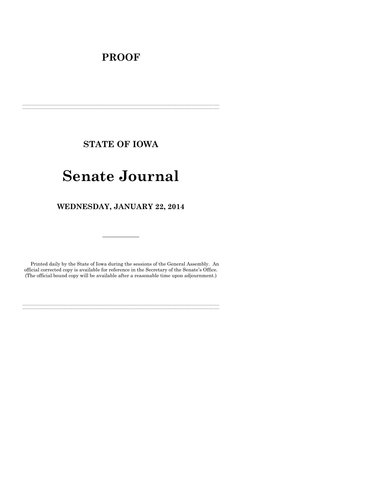# **PROOF**

**STATE OF IOWA**

**\_\_\_\_\_\_\_\_\_\_\_\_\_\_\_\_\_\_\_\_\_\_\_\_\_\_\_\_\_\_\_\_\_\_\_\_\_\_\_\_\_\_\_\_\_\_\_\_\_\_\_\_\_\_\_\_\_\_\_\_\_\_\_\_\_\_\_\_\_\_\_\_\_\_\_\_\_\_\_\_\_\_\_\_\_\_\_\_\_\_\_\_\_\_\_\_\_\_\_\_\_\_\_\_\_\_\_\_\_\_\_\_\_\_\_\_\_\_\_\_\_\_\_\_\_\_\_\_\_ \_\_\_\_\_\_\_\_\_\_\_\_\_\_\_\_\_\_\_\_\_\_\_\_\_\_\_\_\_\_\_\_\_\_\_\_\_\_\_\_\_\_\_\_\_\_\_\_\_\_\_\_\_\_\_\_\_\_\_\_\_\_\_\_\_\_\_\_\_\_\_\_\_\_\_\_\_\_\_\_\_\_\_\_\_\_\_\_\_\_\_\_\_\_\_\_\_\_\_\_\_\_\_\_\_\_\_\_\_\_\_\_\_\_\_\_\_\_\_\_\_\_\_\_\_\_\_\_\_**

# **Senate Journal**

**WEDNESDAY, JANUARY 22, 2014**

Printed daily by the State of Iowa during the sessions of the General Assembly. An official corrected copy is available for reference in the Secretary of the Senate's Office. (The official bound copy will be available after a reasonable time upon adjournment.)

**\_\_\_\_\_\_\_\_\_\_\_\_\_\_\_\_\_\_\_\_\_\_\_\_\_\_\_\_\_\_\_\_\_\_\_\_\_\_\_\_\_\_\_\_\_\_\_\_\_\_\_\_\_\_\_\_\_\_\_\_\_\_\_\_\_\_\_\_\_\_\_\_\_\_\_\_\_\_\_\_\_\_\_\_\_\_\_\_\_\_\_\_\_\_\_\_\_\_\_\_\_\_\_\_\_\_\_\_\_\_\_\_\_\_\_\_\_\_\_\_\_\_\_\_\_\_\_\_\_ \_\_\_\_\_\_\_\_\_\_\_\_\_\_\_\_\_\_\_\_\_\_\_\_\_\_\_\_\_\_\_\_\_\_\_\_\_\_\_\_\_\_\_\_\_\_\_\_\_\_\_\_\_\_\_\_\_\_\_\_\_\_\_\_\_\_\_\_\_\_\_\_\_\_\_\_\_\_\_\_\_\_\_\_\_\_\_\_\_\_\_\_\_\_\_\_\_\_\_\_\_\_\_\_\_\_\_\_\_\_\_\_\_\_\_\_\_\_\_\_\_\_\_\_\_\_\_\_\_**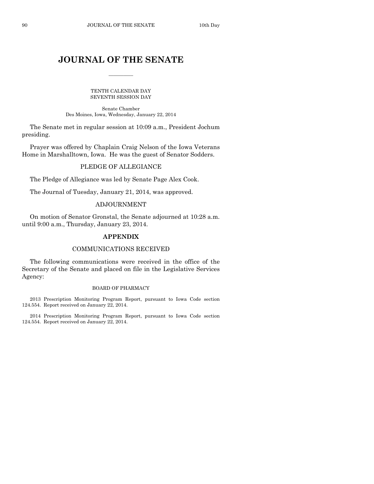# **JOURNAL OF THE SENATE**

 $\overline{\phantom{a}}$ 

TENTH CALENDAR DAY SEVENTH SESSION DAY

Senate Chamber Des Moines, Iowa, Wednesday, January 22, 2014

The Senate met in regular session at 10:09 a.m., President Jochum presiding.

Prayer was offered by Chaplain Craig Nelson of the Iowa Veterans Home in Marshalltown, Iowa. He was the guest of Senator Sodders.

#### PLEDGE OF ALLEGIANCE

The Pledge of Allegiance was led by Senate Page Alex Cook.

The Journal of Tuesday, January 21, 2014, was approved.

#### ADJOURNMENT

On motion of Senator Gronstal, the Senate adjourned at 10:28 a.m. until 9:00 a.m., Thursday, January 23, 2014.

#### **APPENDIX**

#### COMMUNICATIONS RECEIVED

The following communications were received in the office of the Secretary of the Senate and placed on file in the Legislative Services Agency:

#### BOARD OF PHARMACY

2013 Prescription Monitoring Program Report, pursuant to Iowa Code section 124.554. Report received on January 22, 2014.

2014 Prescription Monitoring Program Report, pursuant to Iowa Code section 124.554. Report received on January 22, 2014.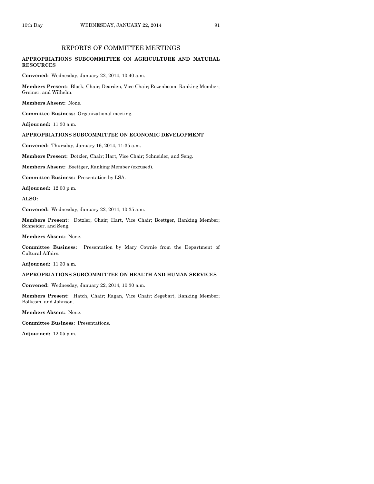### REPORTS OF COMMITTEE MEETINGS

#### **APPROPRIATIONS SUBCOMMITTEE ON AGRICULTURE AND NATURAL RESOURCES**

**Convened:** Wednesday, January 22, 2014, 10:40 a.m.

**Members Present:** Black, Chair; Dearden, Vice Chair; Rozenboom, Ranking Member; Greiner, and Wilhelm.

**Members Absent:** None.

**Committee Business:** Organizational meeting.

**Adjourned:** 11:30 a.m.

#### **APPROPRIATIONS SUBCOMMITTEE ON ECONOMIC DEVELOPMENT**

**Convened:** Thursday, January 16, 2014, 11:35 a.m.

**Members Present:** Dotzler, Chair; Hart, Vice Chair; Schneider, and Seng.

**Members Absent:** Boettger, Ranking Member (excused).

**Committee Business:** Presentation by LSA.

**Adjourned:** 12:00 p.m.

**ALSO:**

**Convened:** Wednesday, January 22, 2014, 10:35 a.m.

**Members Present:** Dotzler, Chair; Hart, Vice Chair; Boettger, Ranking Member; Schneider, and Seng.

**Members Absent:** None.

**Committee Business:** Presentation by Mary Cownie from the Department of Cultural Affairs.

**Adjourned:** 11:30 a.m.

#### **APPROPRIATIONS SUBCOMMITTEE ON HEALTH AND HUMAN SERVICES**

**Convened:** Wednesday, January 22, 2014, 10:30 a.m.

**Members Present:** Hatch, Chair; Ragan, Vice Chair; Segebart, Ranking Member; Bolkcom, and Johnson.

**Members Absent:** None.

**Committee Business:** Presentations.

**Adjourned:** 12:05 p.m.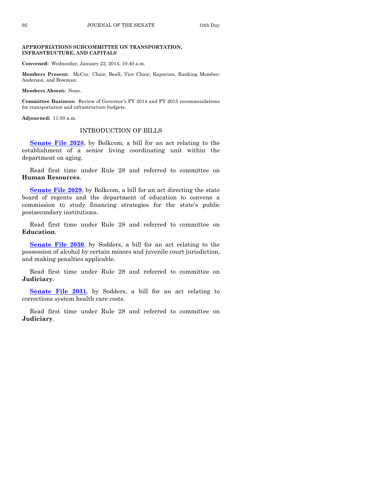#### **APPROPRIATIONS SUBCOMMITTEE ON TRANSPORTATION, INFRASTRUCTURE, AND CAPITALS**

**Convened:** Wednesday, January 22, 2014, 10:40 a.m.

**Members Present:** McCoy, Chair; Beall, Vice Chair; Kapucian, Ranking Member; Anderson, and Bowman.

**Members Absent:** None.

**Committee Business:** Review of Governor's FY 2014 and FY 2015 recommendations for transportation and infrastructure budgets.

**Adjourned:** 11:50 a.m.

#### INTRODUCTION OF BILLS

**[Senate File 2028](http://coolice.legis.iowa.gov/Cool-ICE/default.asp?Category=billinfo&Service=Billbook&frame=1&GA=85&hbill=SF2028)**, by Bolkcom, a bill for an act relating to the establishment of a senior living coordinating unit within the department on aging.

Read first time under Rule 28 and referred to committee on **Human Resources**.

**[Senate File 2029](http://coolice.legis.iowa.gov/Cool-ICE/default.asp?Category=billinfo&Service=Billbook&frame=1&GA=85&hbill=SF2029)**, by Bolkcom, a bill for an act directing the state board of regents and the department of education to convene a commission to study financing strategies for the state's public postsecondary institutions.

Read first time under Rule 28 and referred to committee on **Education**.

**[Senate File 2030](http://coolice.legis.iowa.gov/Cool-ICE/default.asp?Category=billinfo&Service=Billbook&frame=1&GA=85&hbill=SF2030)**, by Sodders, a bill for an act relating to the possession of alcohol by certain minors and juvenile court jurisdiction, and making penalties applicable.

Read first time under Rule 28 and referred to committee on **Judiciary**.

**[Senate File 2031](http://coolice.legis.iowa.gov/Cool-ICE/default.asp?Category=billinfo&Service=Billbook&frame=1&GA=85&hbill=SF2031)**, by Sodders, a bill for an act relating to corrections system health care costs.

Read first time under Rule 28 and referred to committee on **Judiciary**.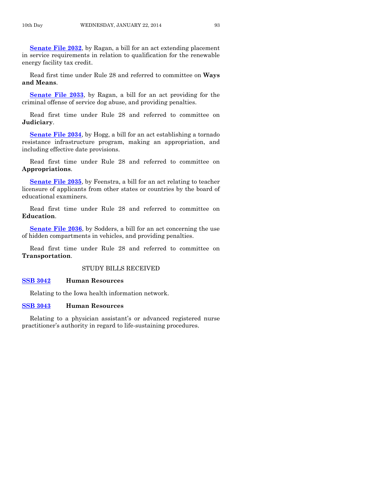**[Senate File 2032](http://coolice.legis.iowa.gov/Cool-ICE/default.asp?Category=billinfo&Service=Billbook&frame=1&GA=85&hbill=SF2032)**, by Ragan, a bill for an act extending placement in service requirements in relation to qualification for the renewable energy facility tax credit.

Read first time under Rule 28 and referred to committee on **Ways and Means**.

**[Senate File 2033](http://coolice.legis.iowa.gov/Cool-ICE/default.asp?Category=billinfo&Service=Billbook&frame=1&GA=85&hbill=SF2033)**, by Ragan, a bill for an act providing for the criminal offense of service dog abuse, and providing penalties.

Read first time under Rule 28 and referred to committee on **Judiciary**.

**[Senate File 2034](http://coolice.legis.iowa.gov/Cool-ICE/default.asp?Category=billinfo&Service=Billbook&frame=1&GA=85&hbill=SF2034)**, by Hogg, a bill for an act establishing a tornado resistance infrastructure program, making an appropriation, and including effective date provisions.

Read first time under Rule 28 and referred to committee on **Appropriations**.

**[Senate File 2035](http://coolice.legis.iowa.gov/Cool-ICE/default.asp?Category=billinfo&Service=Billbook&frame=1&GA=85&hbill=SF2035)**, by Feenstra, a bill for an act relating to teacher licensure of applicants from other states or countries by the board of educational examiners.

Read first time under Rule 28 and referred to committee on **Education**.

**[Senate File 2036](http://coolice.legis.iowa.gov/Cool-ICE/default.asp?Category=billinfo&Service=Billbook&frame=1&GA=85&hbill=SF2036)**, by Sodders, a bill for an act concerning the use of hidden compartments in vehicles, and providing penalties.

Read first time under Rule 28 and referred to committee on **Transportation**.

#### STUDY BILLS RECEIVED

#### **[SSB 3042](http://coolice.legis.iowa.gov/Cool-ICE/default.asp?Category=billinfo&Service=Billbook&frame=1&GA=85&hbill=SSB3042) Human Resources**

Relating to the Iowa health information network.

#### **[SSB 3043](http://coolice.legis.iowa.gov/Cool-ICE/default.asp?Category=billinfo&Service=Billbook&frame=1&GA=85&hbill=SSB3043) Human Resources**

Relating to a physician assistant's or advanced registered nurse practitioner's authority in regard to life-sustaining procedures.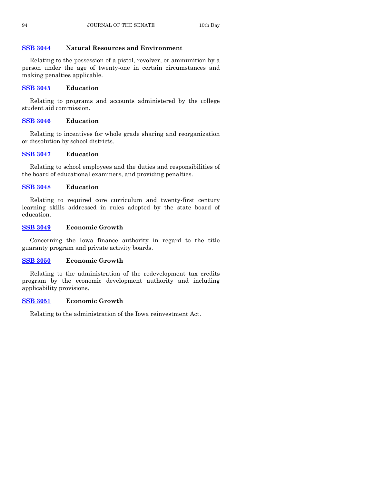# **[SSB 3044](http://coolice.legis.iowa.gov/Cool-ICE/default.asp?Category=billinfo&Service=Billbook&frame=1&GA=85&hbill=SSB3044) Natural Resources and Environment**

Relating to the possession of a pistol, revolver, or ammunition by a person under the age of twenty-one in certain circumstances and making penalties applicable.

# **[SSB 3045](http://coolice.legis.iowa.gov/Cool-ICE/default.asp?Category=billinfo&Service=Billbook&frame=1&GA=85&hbill=SSB3045) Education**

Relating to programs and accounts administered by the college student aid commission.

# **[SSB 3046](http://coolice.legis.iowa.gov/Cool-ICE/default.asp?Category=billinfo&Service=Billbook&frame=1&GA=85&hbill=SSB3046) Education**

Relating to incentives for whole grade sharing and reorganization or dissolution by school districts.

# **[SSB 3047](http://coolice.legis.iowa.gov/Cool-ICE/default.asp?Category=billinfo&Service=Billbook&frame=1&GA=85&hbill=SSB3047) Education**

Relating to school employees and the duties and responsibilities of the board of educational examiners, and providing penalties.

# **[SSB 3048](http://coolice.legis.iowa.gov/Cool-ICE/default.asp?Category=billinfo&Service=Billbook&frame=1&GA=85&hbill=SSB3048) Education**

Relating to required core curriculum and twenty-first century learning skills addressed in rules adopted by the state board of education.

# **[SSB 3049](http://coolice.legis.iowa.gov/Cool-ICE/default.asp?Category=billinfo&Service=Billbook&frame=1&GA=85&hbill=SSB3049) Economic Growth**

Concerning the Iowa finance authority in regard to the title guaranty program and private activity boards.

# **[SSB 3050](http://coolice.legis.iowa.gov/Cool-ICE/default.asp?Category=billinfo&Service=Billbook&frame=1&GA=85&hbill=SSB3050) Economic Growth**

Relating to the administration of the redevelopment tax credits program by the economic development authority and including applicability provisions.

# **[SSB 3051](http://coolice.legis.iowa.gov/Cool-ICE/default.asp?Category=billinfo&Service=Billbook&frame=1&GA=85&hbill=SSB3051) Economic Growth**

Relating to the administration of the Iowa reinvestment Act.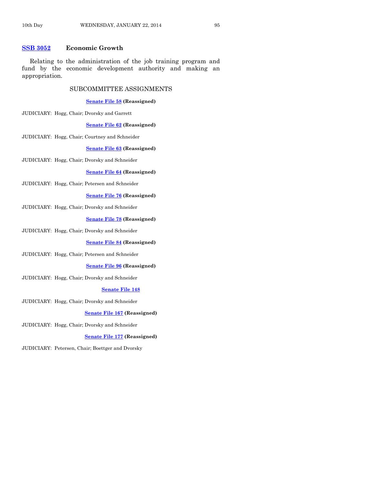#### **[SSB 3052](http://coolice.legis.iowa.gov/Cool-ICE/default.asp?Category=billinfo&Service=Billbook&frame=1&GA=85&hbill=SSB3052) Economic Growth**

Relating to the administration of the job training program and fund by the economic development authority and making an appropriation.

#### SUBCOMMITTEE ASSIGNMENTS

#### **[Senate File 58](http://coolice.legis.iowa.gov/Cool-ICE/default.asp?Category=billinfo&Service=Billbook&frame=1&GA=85&hbill=SF58) (Reassigned)**

JUDICIARY: Hogg, Chair; Dvorsky and Garrett

#### **[Senate File 62](http://coolice.legis.iowa.gov/Cool-ICE/default.asp?Category=billinfo&Service=Billbook&frame=1&GA=85&hbill=SF62) (Reassigned)**

JUDICIARY: Hogg, Chair; Courtney and Schneider

#### **[Senate File 63](http://coolice.legis.iowa.gov/Cool-ICE/default.asp?Category=billinfo&Service=Billbook&frame=1&GA=85&hbill=SF63) (Reassigned)**

JUDICIARY: Hogg, Chair; Dvorsky and Schneider

#### **[Senate File 64](http://coolice.legis.iowa.gov/Cool-ICE/default.asp?Category=billinfo&Service=Billbook&frame=1&GA=85&hbill=SF64) (Reassigned)**

JUDICIARY: Hogg, Chair; Petersen and Schneider

#### **[Senate File 76](http://coolice.legis.iowa.gov/Cool-ICE/default.asp?Category=billinfo&Service=Billbook&frame=1&GA=85&hbill=SF76) (Reassigned)**

JUDICIARY: Hogg, Chair; Dvorsky and Schneider

#### **[Senate File 78](http://coolice.legis.iowa.gov/Cool-ICE/default.asp?Category=billinfo&Service=Billbook&frame=1&GA=85&hbill=SF78) (Reassigned)**

JUDICIARY: Hogg, Chair; Dvorsky and Schneider

#### **[Senate File 84](http://coolice.legis.iowa.gov/Cool-ICE/default.asp?Category=billinfo&Service=Billbook&frame=1&GA=85&hbill=SF84) (Reassigned)**

JUDICIARY: Hogg, Chair; Petersen and Schneider

#### **[Senate File 96](http://coolice.legis.iowa.gov/Cool-ICE/default.asp?Category=billinfo&Service=Billbook&frame=1&GA=85&hbill=SF96) (Reassigned)**

JUDICIARY: Hogg, Chair; Dvorsky and Schneider

#### **[Senate File 148](http://coolice.legis.iowa.gov/Cool-ICE/default.asp?Category=billinfo&Service=Billbook&frame=1&GA=85&hbill=SF148)**

JUDICIARY: Hogg, Chair; Dvorsky and Schneider

#### **[Senate File 167](http://coolice.legis.iowa.gov/Cool-ICE/default.asp?Category=billinfo&Service=Billbook&frame=1&GA=85&hbill=SF167) (Reassigned)**

JUDICIARY: Hogg, Chair; Dvorsky and Schneider

#### **[Senate File 177](http://coolice.legis.iowa.gov/Cool-ICE/default.asp?Category=billinfo&Service=Billbook&frame=1&GA=85&hbill=SF177) (Reassigned)**

JUDICIARY: Petersen, Chair; Boettger and Dvorsky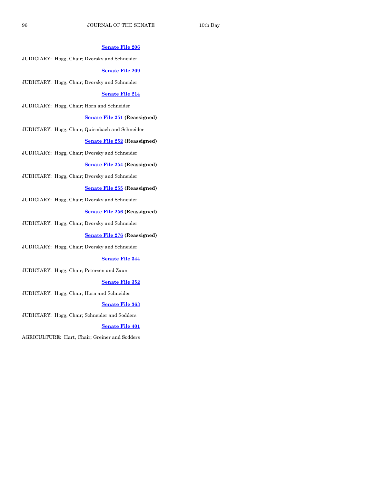#### **[Senate File 206](http://coolice.legis.iowa.gov/Cool-ICE/default.asp?Category=billinfo&Service=Billbook&frame=1&GA=85&hbill=SF206)**

JUDICIARY: Hogg, Chair; Dvorsky and Schneider

#### **[Senate File 209](http://coolice.legis.iowa.gov/Cool-ICE/default.asp?Category=billinfo&Service=Billbook&frame=1&GA=85&hbill=SF209)**

JUDICIARY: Hogg, Chair; Dvorsky and Schneider

#### **[Senate File 214](http://coolice.legis.iowa.gov/Cool-ICE/default.asp?Category=billinfo&Service=Billbook&frame=1&GA=85&hbill=SF214)**

JUDICIARY: Hogg, Chair; Horn and Schneider

#### **[Senate File 251](http://coolice.legis.iowa.gov/Cool-ICE/default.asp?Category=billinfo&Service=Billbook&frame=1&GA=85&hbill=SF251) (Reassigned)**

JUDICIARY: Hogg, Chair; Quirmbach and Schneider

#### **[Senate File 252](http://coolice.legis.iowa.gov/Cool-ICE/default.asp?Category=billinfo&Service=Billbook&frame=1&GA=85&hbill=SF252) (Reassigned)**

JUDICIARY: Hogg, Chair; Dvorsky and Schneider

#### **[Senate File 254](http://coolice.legis.iowa.gov/Cool-ICE/default.asp?Category=billinfo&Service=Billbook&frame=1&GA=85&hbill=SF254) (Reassigned)**

JUDICIARY: Hogg, Chair; Dvorsky and Schneider

#### **[Senate File 255](http://coolice.legis.iowa.gov/Cool-ICE/default.asp?Category=billinfo&Service=Billbook&frame=1&GA=85&hbill=SF255) (Reassigned)**

JUDICIARY: Hogg, Chair; Dvorsky and Schneider

#### **[Senate File 256](http://coolice.legis.iowa.gov/Cool-ICE/default.asp?Category=billinfo&Service=Billbook&frame=1&GA=85&hbill=SF256) (Reassigned)**

JUDICIARY: Hogg, Chair; Dvorsky and Schneider

#### **[Senate File 276](http://coolice.legis.iowa.gov/Cool-ICE/default.asp?Category=billinfo&Service=Billbook&frame=1&GA=85&hbill=SF276) (Reassigned)**

JUDICIARY: Hogg, Chair; Dvorsky and Schneider

#### **[Senate File 344](http://coolice.legis.iowa.gov/Cool-ICE/default.asp?Category=billinfo&Service=Billbook&frame=1&GA=85&hbill=SF344)**

JUDICIARY: Hogg, Chair; Petersen and Zaun

#### **[Senate File 352](http://coolice.legis.iowa.gov/Cool-ICE/default.asp?Category=billinfo&Service=Billbook&frame=1&GA=85&hbill=SF352)**

JUDICIARY: Hogg, Chair; Horn and Schneider

#### **[Senate File 363](http://coolice.legis.iowa.gov/Cool-ICE/default.asp?Category=billinfo&Service=Billbook&frame=1&GA=85&hbill=SF363)**

JUDICIARY: Hogg, Chair; Schneider and Sodders

#### **[Senate File 401](http://coolice.legis.iowa.gov/Cool-ICE/default.asp?Category=billinfo&Service=Billbook&frame=1&GA=85&hbill=SF401)**

AGRICULTURE: Hart, Chair; Greiner and Sodders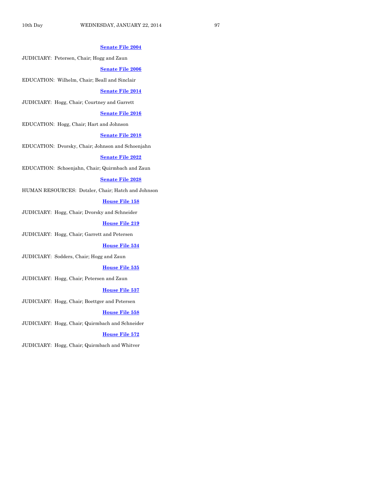#### **[Senate File 2004](http://coolice.legis.iowa.gov/Cool-ICE/default.asp?Category=billinfo&Service=Billbook&frame=1&GA=85&hbill=SF2004)**

JUDICIARY: Petersen, Chair; Hogg and Zaun

#### **[Senate File 2006](http://coolice.legis.iowa.gov/Cool-ICE/default.asp?Category=billinfo&Service=Billbook&frame=1&GA=85&hbill=SF2006)**

EDUCATION: Wilhelm, Chair; Beall and Sinclair

#### **[Senate File 2014](http://coolice.legis.iowa.gov/Cool-ICE/default.asp?Category=billinfo&Service=Billbook&frame=1&GA=85&hbill=SF2014)**

JUDICIARY: Hogg, Chair; Courtney and Garrett

#### **[Senate File 2016](http://coolice.legis.iowa.gov/Cool-ICE/default.asp?Category=billinfo&Service=Billbook&frame=1&GA=85&hbill=SF2016)**

EDUCATION: Hogg, Chair; Hart and Johnson

#### **[Senate File 2018](http://coolice.legis.iowa.gov/Cool-ICE/default.asp?Category=billinfo&Service=Billbook&frame=1&GA=85&hbill=SF2018)**

EDUCATION: Dvorsky, Chair; Johnson and Schoenjahn

#### **[Senate File 2022](http://coolice.legis.iowa.gov/Cool-ICE/default.asp?Category=billinfo&Service=Billbook&frame=1&GA=85&hbill=SF2022)**

EDUCATION: Schoenjahn, Chair; Quirmbach and Zaun

#### **[Senate File 2028](http://coolice.legis.iowa.gov/Cool-ICE/default.asp?Category=billinfo&Service=Billbook&frame=1&GA=85&hbill=SF2028)**

HUMAN RESOURCES: Dotzler, Chair; Hatch and Johnson

#### **[House File 158](http://coolice.legis.iowa.gov/Cool-ICE/default.asp?Category=billinfo&Service=Billbook&frame=1&GA=85&hbill=HF158)**

JUDICIARY: Hogg, Chair; Dvorsky and Schneider

#### **[House File 219](http://coolice.legis.iowa.gov/Cool-ICE/default.asp?Category=billinfo&Service=Billbook&frame=1&GA=85&hbill=HF219)**

JUDICIARY: Hogg, Chair; Garrett and Petersen

#### **[House File 534](http://coolice.legis.iowa.gov/Cool-ICE/default.asp?Category=billinfo&Service=Billbook&frame=1&GA=85&hbill=HF534)**

JUDICIARY: Sodders, Chair; Hogg and Zaun

#### **[House File 535](http://coolice.legis.iowa.gov/Cool-ICE/default.asp?Category=billinfo&Service=Billbook&frame=1&GA=85&hbill=HF535)**

JUDICIARY: Hogg, Chair; Petersen and Zaun

#### **[House File 537](http://coolice.legis.iowa.gov/Cool-ICE/default.asp?Category=billinfo&Service=Billbook&frame=1&GA=85&hbill=HF537)**

JUDICIARY: Hogg, Chair; Boettger and Petersen

#### **[House File 558](http://coolice.legis.iowa.gov/Cool-ICE/default.asp?Category=billinfo&Service=Billbook&frame=1&GA=85&hbill=HF558)**

JUDICIARY: Hogg, Chair; Quirmbach and Schneider

#### **[House File 572](http://coolice.legis.iowa.gov/Cool-ICE/default.asp?Category=billinfo&Service=Billbook&frame=1&GA=85&hbill=HF572)**

JUDICIARY: Hogg, Chair; Quirmbach and Whitver